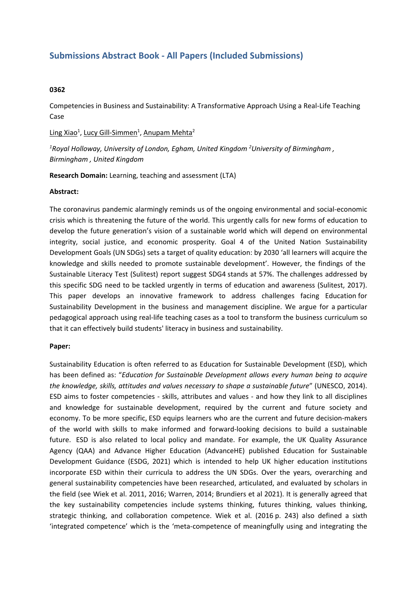# **Submissions Abstract Book - All Papers (Included Submissions)**

## **0362**

Competencies in Business and Sustainability: A Transformative Approach Using <sup>a</sup> Real-Life Teaching Case

Ling Xiao<sup>1</sup>, Lucy Gill-Simmen<sup>1</sup>, Anupam Mehta<sup>2</sup>

*1 Royal Holloway, University of London, Egham, United Kingdom <sup>2</sup> University of Birmingham , Birmingham , United Kingdom*

**Research Domain:** Learning, teaching and assessment (LTA)

#### **Abstract:**

The coronavirus pandemic alarmingly reminds us of the ongoing environmental and social-economic crisis which is threatening the future of the world. This urgently calls for new forms of education to develop the future generation's vision of <sup>a</sup> sustainable world which will depend on environmental integrity, social justice, and economic prosperity. Goal 4 of the United Nation Sustainability Development Goals (UN SDGs) sets <sup>a</sup> target of quality education: by 2030 'all learners will acquire the knowledge and skills needed to promote sustainable development'. However, the findings of the Sustainable Literacy Test (Sulitest) report suggest SDG4 stands at 57%. The challenges addressed by this specific SDG need to be tackled urgently in terms of education and awareness (Sulitest, 2017). This paper develops an innovative framework to address challenges facing Education for Sustainability Development in the business and management discipline. We argue for a particular pedagogical approach using real-life teaching cases as <sup>a</sup> tool to transform the business curriculum so that it can effectively build students' literacy in business and sustainability.

## **Paper:**

Sustainability Education is often referred to as Education for Sustainable Development (ESD), which has been defined as: "*Education for Sustainable Development allows every human being to acquire the knowledge, skills, attitudes and values necessary to shape <sup>a</sup> sustainable future*" (UNESCO, 2014). ESD aims to foster competencies - skills, attributes and values - and how they link to all disciplines and knowledge for sustainable development, required by the current and future society and economy. To be more specific, ESD equips learners who are the current and future decision-makers of the world with skills to make informed and forward-looking decisions to build <sup>a</sup> sustainable future. ESD is also related to local policy and mandate. For example, the UK Quality Assurance Agency (QAA) and Advance Higher Education (AdvanceHE) published Education for Sustainable Development Guidance (ESDG, 2021) which is intended to help UK higher education institutions incorporate ESD within their curricula to address the UN SDGs. Over the years, overarching and general sustainability competencies have been researched, articulated, and evaluated by scholars in the field (see Wiek et al. 2011, 2016; Warren, 2014; Brundiers et al 2021). It is generally agreed that the key sustainability competencies include systems thinking, futures thinking, values thinking, strategic thinking, and collaboration competence. Wiek et al. (2016 p. 243) also defined <sup>a</sup> sixth 'integrated competence' which is the 'meta-competence of meaningfully using and integrating the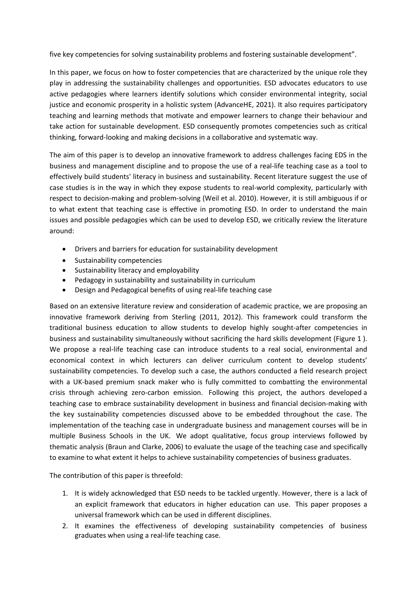five key competencies for solving sustainability problems and fostering sustainable development".

In this paper, we focus on how to foster competencies that are characterized by the unique role they play in addressing the sustainability challenges and opportunities. ESD advocates educators to use active pedagogies where learners identify solutions which consider environmental integrity, social justice and economic prosperity in <sup>a</sup> holistic system (AdvanceHE, 2021). It also requires participatory teaching and learning methods that motivate and empower learners to change their behaviour and take action for sustainable development. ESD consequently promotes competencies such as critical thinking, forward-looking and making decisions in <sup>a</sup> collaborative and systematic way.

The aim of this paper is to develop an innovative framework to address challenges facing EDS in the business and management discipline and to propose the use of <sup>a</sup> real-life teaching case as <sup>a</sup> tool to effectively build students' literacy in business and sustainability. Recent literature suggest the use of case studies is in the way in which they expose students to real-world complexity, particularly with respect to decision-making and problem-solving (Weil et al. 2010). However, it is still ambiguous if or to what extent that teaching case is effective in promoting ESD. In order to understand the main issues and possible pedagogies which can be used to develop ESD, we critically review the literature around:

- Drivers and barriers for education for sustainability development
- Sustainability competencies
- Sustainability literacy and employability
- Pedagogy in sustainability and sustainability in curriculum
- 0 Design and Pedagogical benefits of using real-life teaching case

Based on an extensive literature review and consideration of academic practice, we are proposing an innovative framework deriving from Sterling (2011, 2012). This framework could transform the traditional business education to allow students to develop highly sought-after competencies in business and sustainability simultaneously without sacrificing the hard skills development (Figure 1 ). We propose <sup>a</sup> real-life teaching case can introduce students to <sup>a</sup> real social, environmental and economical context in which lecturers can deliver curriculum content to develop students' sustainability competencies. To develop such <sup>a</sup> case, the authors conducted <sup>a</sup> field research project with <sup>a</sup> UK-based premium snack maker who is fully committed to combatting the environmental crisis through achieving zero-carbon emission. Following this project, the authors developed a teaching case to embrace sustainability development in business and financial decision-making with the key sustainability competencies discussed above to be embedded throughout the case. The implementation of the teaching case in undergraduate business and management courses will be in multiple Business Schools in the UK. We adopt qualitative, focus group interviews followed by thematic analysis (Braun and Clarke, 2006) to evaluate the usage of the teaching case and specifically to examine to what extent it helps to achieve sustainability competencies of business graduates.

The contribution of this paper is threefold:

- 1. It is widely acknowledged that ESD needs to be tackled urgently. However, there is <sup>a</sup> lack of an explicit framework that educators in higher education can use. This paper proposes <sup>a</sup> universal framework which can be used in different disciplines.
- 2. It examines the effectiveness of developing sustainability competencies of business graduates when using <sup>a</sup> real-life teaching case.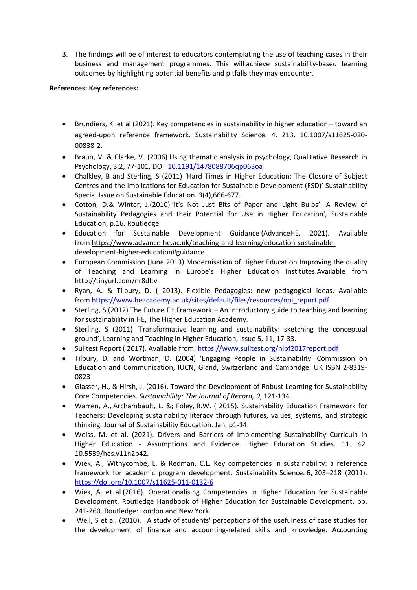3. The findings will be of interest to educators contemplating the use of teaching cases in their business and management programmes. This will achieve sustainability-based learning outcomes by highlighting potential benefits and pitfalls they may encounter.

# **References: Key references:**

- Brundiers, K. et al (2021). Key competencies in sustainability in higher education—toward an agreed-upon reference framework. Sustainability Science. 4. 213. 10.1007/s11625-020- 00838-2.
- Braun, V. & Clarke, V. (2006) Using thematic analysis in psychology, Qualitative Research in Psychology, 3:2, 77-101, DOI: [10.1191/1478088706qp063oa](https://doi.org/10.1191/1478088706qp063oa)
- Chalkley, B and Sterling, S (2011) 'Hard Times in Higher Education: The Closure of Subject Centres and the Implications for Education for Sustainable Development (ESD)' Sustainability Special Issue on Sustainable Education. 3(4),666-677.
- Cotton, D.& Winter, J.(2010) 'It's Not Just Bits of Paper and Light Bulbs': A Review of Sustainability Pedagogies and their Potential for Use in Higher Education', Sustainable Education, p.16. Routledge
- Education for Sustainable Development Guidance (AdvanceHE, 2021). Available from https://www.advance-he.ac.uk/teaching-and-learning/education-sustainabledevelopment-higher-education#guidance
- European Commission (June 2013) Modernisation of Higher Education Improving the quality of Teaching and Learning in Europe's Higher Education Institutes.Available from http://tinyurl.com/nr8dltv
- Ryan, A. & Tilbury, D. ( 2013). Flexible Pedagogies: new pedagogical ideas. Available from [https://www.heacademy.ac.uk/sites/default/files/resources/npi\\_report.pdf](https://www.heacademy.ac.uk/sites/default/files/resources/npi_report.pdf)
- Sterling, S (2012) The Future Fit Framework An introductory guide to teaching and learning for sustainability in HE, The Higher Education Academy.
- 0 Sterling, S (2011) 'Transformative learning and sustainability: sketching the conceptual ground', Learning and Teaching in Higher Education, Issue 5, 11, 17-33.
- Sulitest Report ( 2017). Available from: <https://www.sulitest.org/hlpf2017report.pdf>
- Tilbury, D. and Wortman, D. (2004) 'Engaging People in Sustainability' Commission on Education and Communication, IUCN, Gland, Switzerland and Cambridge. UK ISBN 2-8319- 0823
- Glasser, H., & Hirsh, J. (2016). Toward the Development of Robust Learning for Sustainability Core Competencies. *Sustainability: The Journal of Record, 9*, 121-134.
- Warren, A., Archambault, L. &; Foley, R.W. ( 2015). Sustainability Education Framework for Teachers: Developing sustainability literacy through futures, values, systems, and strategic thinking. Journal of Sustainability Education. Jan, p1-14.
- Weiss, M. et al. (2021). Drivers and Barriers of Implementing Sustainability Curricula in Higher Education - Assumptions and Evidence. Higher Education Studies. 11. 42. 10.5539/hes.v11n2p42.
- Wiek, A., Withycombe, L. & Redman, C.L. Key competencies in sustainability: <sup>a</sup> reference framework for academic program development. Sustainability Science. 6, 203–218 (2011). <https://doi.org/10.1007/s11625-011-0132-6>
- Wiek, A. et al (2016). Operationalising Competencies in Higher Education for Sustainable Development. Routledge Handbook of Higher Education for Sustainable Development, pp. 241-260. Routledge: London and New York.
- Weil, S et al. (2010). A study of students' perceptions of the usefulness of case studies for the development of finance and accounting-related skills and knowledge. Accounting